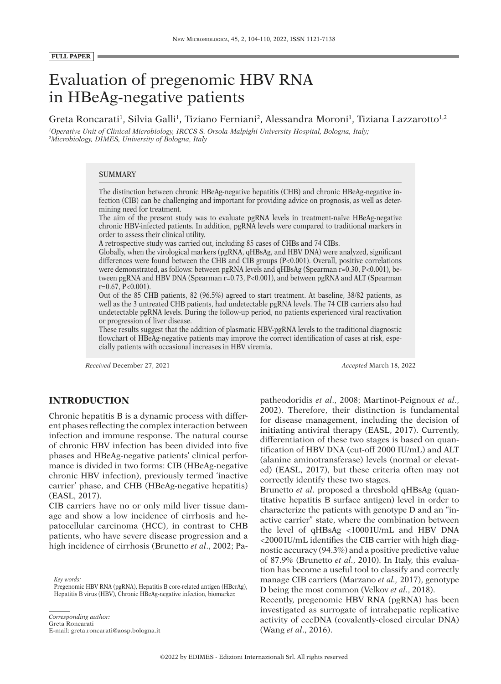#### **FULL PAPER**

# Evaluation of pregenomic HBV RNA in HBeAg-negative patients

Greta Roncarati<sup>1</sup>, Silvia Galli<sup>1</sup>, Tiziano Ferniani<sup>2</sup>, Alessandra Moroni<sup>1</sup>, Tiziana Lazzarotto<sup>1,2</sup>

*1 Operative Unit of Clinical Microbiology, IRCCS S. Orsola-Malpighi University Hospital, Bologna, Italy; 2 Microbiology, DIMES, University of Bologna, Italy*

# SUMMARY

The distinction between chronic HBeAg-negative hepatitis (CHB) and chronic HBeAg-negative infection (CIB) can be challenging and important for providing advice on prognosis, as well as determining need for treatment.

The aim of the present study was to evaluate pgRNA levels in treatment-naïve HBeAg-negative chronic HBV-infected patients. In addition, pgRNA levels were compared to traditional markers in order to assess their clinical utility.

A retrospective study was carried out, including 85 cases of CHBs and 74 CIBs.

Globally, when the virological markers (pgRNA, qHBsAg, and HBV DNA) were analyzed, significant differences were found between the CHB and CIB groups (P<0.001). Overall, positive correlations were demonstrated, as follows: between pgRNA levels and qHBsAg (Spearman r=0.30, P<0.001), between pgRNA and HBV DNA (Spearman r=0.73, P<0.001), and between pgRNA and ALT (Spearman r=0.67, P<0.001).

Out of the 85 CHB patients, 82 (96.5%) agreed to start treatment. At baseline, 38/82 patients, as well as the 3 untreated CHB patients, had undetectable pgRNA levels. The 74 CIB carriers also had undetectable pgRNA levels. During the follow-up period, no patients experienced viral reactivation or progression of liver disease.

These results suggest that the addition of plasmatic HBV-pgRNA levels to the traditional diagnostic flowchart of HBeAg-negative patients may improve the correct identification of cases at risk, especially patients with occasional increases in HBV viremia.

*Received* December 27, 2021 *Accepted* March 18, 2022

# **INTRODUCTION**

Chronic hepatitis B is a dynamic process with different phases reflecting the complex interaction between infection and immune response. The natural course of chronic HBV infection has been divided into five phases and HBeAg-negative patients' clinical performance is divided in two forms: CIB (HBeAg-negative chronic HBV infection), previously termed 'inactive carrier' phase, and CHB (HBeAg-negative hepatitis) (EASL, 2017).

CIB carriers have no or only mild liver tissue damage and show a low incidence of cirrhosis and hepatocellular carcinoma (HCC), in contrast to CHB patients, who have severe disease progression and a high incidence of cirrhosis (Brunetto *et al*., 2002; Pa-

*Key words:* Pregenomic HBV RNA (pgRNA), Hepatitis B core-related antigen (HBcrAg), Hepatitis B virus (HBV), Chronic HBeAg-negative infection, biomarker.

*Corresponding author:* Greta Roncarati

E-mail: greta.roncarati@aosp.bologna.it

patheodoridis *et al*., 2008; Martinot-Peignoux *et al*., 2002). Therefore, their distinction is fundamental for disease management, including the decision of initiating antiviral therapy (EASL, 2017). Currently, differentiation of these two stages is based on quantification of HBV DNA (cut-off 2000 IU/mL) and ALT (alanine aminotransferase) levels (normal or elevated) (EASL, 2017), but these criteria often may not correctly identify these two stages.

Brunetto *et al*. proposed a threshold qHBsAg (quantitative hepatitis B surface antigen) level in order to characterize the patients with genotype D and an "inactive carrier" state, where the combination between the level of qHBsAg <1000IU/mL and HBV DNA <2000IU/mL identifies the CIB carrier with high diagnostic accuracy (94.3%) and a positive predictive value of 87.9% (Brunetto *et al*., 2010). In Italy, this evaluation has become a useful tool to classify and correctly manage CIB carriers (Marzano *et al.,* 2017), genotype D being the most common (Velkov *et al*., 2018).

Recently, pregenomic HBV RNA (pgRNA) has been investigated as surrogate of intrahepatic replicative activity of cccDNA (covalently-closed circular DNA) (Wang *et al*., 2016).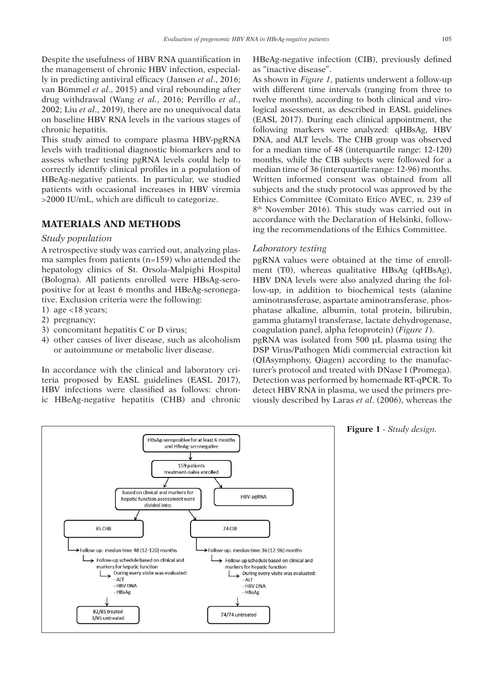Despite the usefulness of HBV RNA quantification in the management of chronic HBV infection, especially in predicting antiviral efficacy (Jansen *et al*., 2016; van Bömmel *et al*., 2015) and viral rebounding after drug withdrawal (Wang *et al.*, 2016; Perrillo *et al*., 2002; Liu *et al*., 2019), there are no unequivocal data on baseline HBV RNA levels in the various stages of chronic hepatitis.

This study aimed to compare plasma HBV-pgRNA levels with traditional diagnostic biomarkers and to assess whether testing pgRNA levels could help to correctly identify clinical profiles in a population of HBeAg-negative patients. In particular, we studied patients with occasional increases in HBV viremia >2000 IU/mL, which are difficult to categorize.

# **MATERIALS AND METHODS**

## *Study population*

A retrospective study was carried out, analyzing plasma samples from patients (n=159) who attended the hepatology clinics of St. Orsola-Malpighi Hospital (Bologna). All patients enrolled were HBsAg-seropositive for at least 6 months and HBeAg-seronegative. Exclusion criteria were the following:

- 1) age  $<$ 18 years;
- 2) pregnancy;
- 3) concomitant hepatitis C or D virus;
- 4) other causes of liver disease, such as alcoholism or autoimmune or metabolic liver disease.

In accordance with the clinical and laboratory criteria proposed by EASL guidelines (EASL 2017), HBV infections were classified as follows: chronic HBeAg-negative hepatitis (CHB) and chronic HBeAg-negative infection (CIB), previously defined as "inactive disease".

As shown in *Figure 1*, patients underwent a follow-up with different time intervals (ranging from three to twelve months), according to both clinical and virological assessment, as described in EASL guidelines (EASL 2017). During each clinical appointment, the following markers were analyzed: qHBsAg, HBV DNA, and ALT levels. The CHB group was observed for a median time of 48 (interquartile range: 12-120) months, while the CIB subjects were followed for a median time of 36 (interquartile range: 12-96) months. Written informed consent was obtained from all subjects and the study protocol was approved by the Ethics Committee (Comitato Etico AVEC, n. 239 of 8<sup>th</sup> November 2016). This study was carried out in accordance with the Declaration of Helsinki, following the recommendations of the Ethics Committee.

## *Laboratory testing*

pgRNA values were obtained at the time of enrollment (T0), whereas qualitative HBsAg (qHBsAg), HBV DNA levels were also analyzed during the follow-up, in addition to biochemical tests (alanine aminotransferase, aspartate aminotransferase, phosphatase alkaline, albumin, total protein, bilirubin, gamma glutamyl transferase, lactate dehydrogenase, coagulation panel, alpha fetoprotein) (*Figure 1*). pgRNA was isolated from 500 µL plasma using the DSP Virus/Pathogen Midi commercial extraction kit (QIAsymphony, Qiagen) according to the manufacturer's protocol and treated with DNase I (Promega). Detection was performed by homemade RT-qPCR. To detect HBV RNA in plasma, we used the primers previously described by Laras *et al*. (2006), whereas the



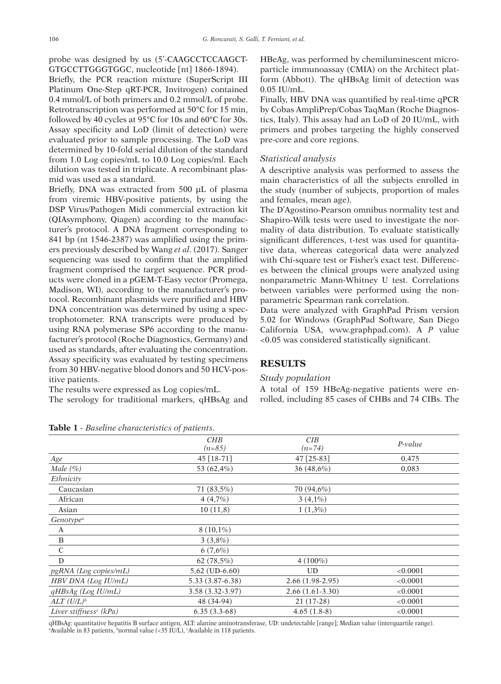probe was designed by us (5'-CAAGCCTCCAAGCT-GTGCCTTGGGTGGC, nucleotide [nt] 1866-1894).

Briefly, the PCR reaction mixture (SuperScript III Platinum One-Step qRT-PCR, Invitrogen) contained 0.4 mmol/L of both primers and 0.2 mmol/L of probe. Retrotranscription was performed at 50°C for 15 min, followed by 40 cycles at 95°C for 10s and 60°C for 30s. Assay specificity and LoD (limit of detection) were evaluated prior to sample processing. The LoD was determined by 10-fold serial dilution of the standard from 1.0 Log copies/mL to 10.0 Log copies/ml. Each dilution was tested in triplicate. A recombinant plasmid was used as a standard.

Briefly, DNA was extracted from 500 µL of plasma from viremic HBV-positive patients, by using the DSP Virus/Pathogen Midi commercial extraction kit (QIAsymphony, Qiagen) according to the manufacturer's protocol. A DNA fragment corresponding to 841 bp (nt 1546-2387) was amplified using the primers previously described by Wang *et al*. (2017). Sanger sequencing was used to confirm that the amplified fragment comprised the target sequence. PCR products were cloned in a pGEM-T-Easy vector (Promega, Madison, WI), according to the manufacturer's protocol. Recombinant plasmids were purified and HBV DNA concentration was determined by using a spectrophotometer. RNA transcripts were produced by using RNA polymerase SP6 according to the manufacturer's protocol (Roche Diagnostics, Germany) and used as standards, after evaluating the concentration. Assay specificity was evaluated by testing specimens from 30 HBV-negative blood donors and 50 HCV-positive patients.

The results were expressed as Log copies/mL. The serology for traditional markers, qHBsAg and HBeAg, was performed by chemiluminescent microparticle immunoassay (CMIA) on the Architect platform (Abbott). The qHBsAg limit of detection was 0.05 IU/mL.

Finally, HBV DNA was quantified by real-time qPCR by Cobas AmpliPrep/Cobas TaqMan (Roche Diagnostics, Italy). This assay had an LoD of 20 IU/mL, with primers and probes targeting the highly conserved pre-core and core regions.

## *Statistical analysis*

A descriptive analysis was performed to assess the main characteristics of all the subjects enrolled in the study (number of subjects, proportion of males and females, mean age).

The D'Agostino-Pearson omnibus normality test and Shapiro-Wilk tests were used to investigate the normality of data distribution. To evaluate statistically significant differences, t-test was used for quantitative data, whereas categorical data were analyzed with Chi-square test or Fisher's exact test. Differences between the clinical groups were analyzed using nonparametric Mann-Whitney U test. Correlations between variables were performed using the nonparametric Spearman rank correlation.

Data were analyzed with GraphPad Prism version 5.02 for Windows (GraphPad Software, San Diego California USA, www.graphpad.com). A *P* value <0.05 was considered statistically significant.

# **RESULTS**

#### *Study population*

A total of 159 HBeAg-negative patients were enrolled, including 85 cases of CHBs and 74 CIBs. The

|                                    | CHB<br>$(n=85)$  | CIB<br>$(n=74)$   | $P-value$ |
|------------------------------------|------------------|-------------------|-----------|
| Age                                | 45 [18-71]       | 47 [25-83]        | 0,475     |
| Male $(\%)$                        | 53 (62,4%)       | 36 $(48,6%)$      | 0,083     |
| Ethnicity                          |                  |                   |           |
| Caucasian                          | 71(83,5%)        | 70 (94,6%)        |           |
| African                            | 4(4,7%)          | $3(4,1\%)$        |           |
| Asian                              | 10(11,8)         | $1(1,3\%)$        |           |
| Genotype <sup>a</sup>              |                  |                   |           |
| A                                  | $8(10,1\%)$      |                   |           |
| $\mathbf B$                        | $3(3,8\%)$       |                   |           |
| $\mathbf C$                        | 6(7,6%)          |                   |           |
| $\mathbf D$                        | 62 $(78,5%)$     | $4(100\%)$        |           |
| pgRNA (Log copies/mL)              | $5,62$ (UD-6.60) | <b>UD</b>         | < 0.0001  |
| HBV DNA (Log IU/mL)                | 5.33 (3.87-6.38) | $2.66(1.98-2.95)$ | < 0.0001  |
| $qHBsAg$ (Log IU/mL)               | 3.58 (3.32-3.97) | $2.66(1.61-3.30)$ | < 0.0001  |
| $ALT (U/L)^b$                      | 48 (34-94)       | 21 (17-28)        | < 0.0001  |
| Liver stiffness <sup>c</sup> (kPa) | $6.35(3.3-68)$   | $4.65(1.8-8)$     | < 0.0001  |

**Table 1** *- Baseline characteristics of patients.*

qHBsAg: quantitative hepatitis B surface antigen, ALT: alanine aminotransferase, UD: undetectable [range]; Median value (interquartile range). a Available in 83 patients, bnormal value (<35 IU/L), c Available in 118 patients.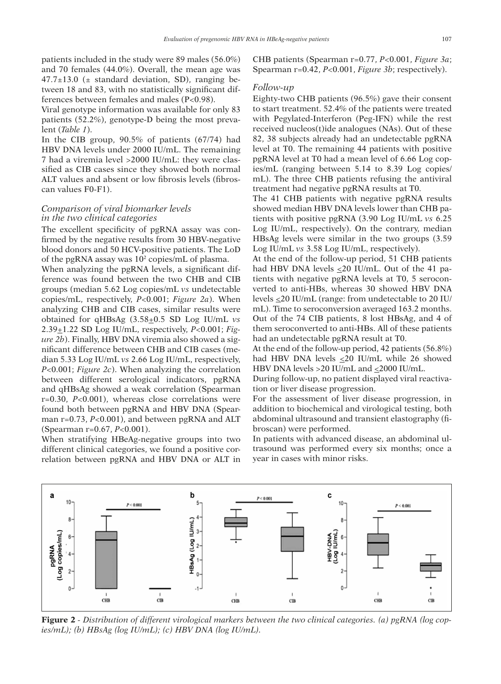patients included in the study were 89 males (56.0%) and 70 females (44.0%). Overall, the mean age was  $47.7\pm13.0$  ( $\pm$  standard deviation, SD), ranging between 18 and 83, with no statistically significant differences between females and males (P<0.98).

Viral genotype information was available for only 83 patients (52.2%), genotype-D being the most prevalent (*Table 1*).

In the CIB group, 90.5% of patients (67/74) had HBV DNA levels under 2000 IU/mL. The remaining 7 had a viremia level >2000 IU/mL: they were classified as CIB cases since they showed both normal ALT values and absent or low fibrosis levels (fibroscan values F0-F1).

## *Comparison of viral biomarker levels in the two clinical categories*

The excellent specificity of pgRNA assay was confirmed by the negative results from 30 HBV-negative blood donors and 50 HCV-positive patients. The LoD of the pgRNA assay was 102 copies/mL of plasma.

When analyzing the pgRNA levels, a significant difference was found between the two CHB and CIB groups (median 5.62 Log copies/mL *vs* undetectable copies/mL, respectively, *P*<0.001; *Figure 2a*). When analyzing CHB and CIB cases, similar results were obtained for qHBsAg (3.58+0.5 SD Log IU/mL *vs* 2.39+1.22 SD Log IU/mL, respectively, *P*<0.001; *Figure 2b*). Finally, HBV DNA viremia also showed a significant difference between CHB and CIB cases (median 5.33 Log IU/mL *vs* 2.66 Log IU/mL, respectively, *P*<0.001; *Figure 2c*). When analyzing the correlation between different serological indicators, pgRNA and qHBsAg showed a weak correlation (Spearman r=0.30, *P*<0.001), whereas close correlations were found both between pgRNA and HBV DNA (Spearman r=0.73, *P*<0.001), and between pgRNA and ALT (Spearman r=0.67, *P*<0.001).

When stratifying HBeAg-negative groups into two different clinical categories, we found a positive correlation between pgRNA and HBV DNA or ALT in CHB patients (Spearman r=0.77, *P*<0.001, *Figure 3a*; Spearman r=0.42, *P*<0.001, *Figure 3b*; respectively).

#### *Follow-up*

Eighty-two CHB patients (96.5%) gave their consent to start treatment. 52.4% of the patients were treated with Pegylated-Interferon (Peg-IFN) while the rest received nucleos(t)ide analogues (NAs). Out of these 82, 38 subjects already had an undetectable pgRNA level at T0. The remaining 44 patients with positive pgRNA level at T0 had a mean level of 6.66 Log copies/mL (ranging between 5.14 to 8.39 Log copies/ mL). The three CHB patients refusing the antiviral treatment had negative pgRNA results at T0.

The 41 CHB patients with negative pgRNA results showed median HBV DNA levels lower than CHB patients with positive pgRNA (3.90 Log IU/mL *vs* 6.25 Log IU/mL, respectively). On the contrary, median HBsAg levels were similar in the two groups (3.59 Log IU/mL *vs* 3.58 Log IU/mL, respectively).

At the end of the follow-up period, 51 CHB patients had HBV DNA levels <20 IU/mL. Out of the 41 patients with negative pgRNA levels at T0, 5 seroconverted to anti-HBs, whereas 30 showed HBV DNA levels  $\leq$ 20 IU/mL (range: from undetectable to 20 IU/ mL). Time to seroconversion averaged 163.2 months. Out of the 74 CIB patients, 8 lost HBsAg, and 4 of them seroconverted to anti-HBs. All of these patients had an undetectable pgRNA result at T0.

At the end of the follow-up period, 42 patients (56.8%) had HBV DNA levels  $\leq$ 20 IU/mL while 26 showed HBV DNA levels > 20 IU/mL and  $\leq$  2000 IU/mL.

During follow-up, no patient displayed viral reactivation or liver disease progression.

For the assessment of liver disease progression, in addition to biochemical and virological testing, both abdominal ultrasound and transient elastography (fibroscan) were performed.

In patients with advanced disease, an abdominal ultrasound was performed every six months; once a year in cases with minor risks.



**Figure 2** *- Distribution of different virological markers between the two clinical categories. (a) pgRNA (log copies/mL); (b) HBsAg (log IU/mL); (c) HBV DNA (log IU/mL).*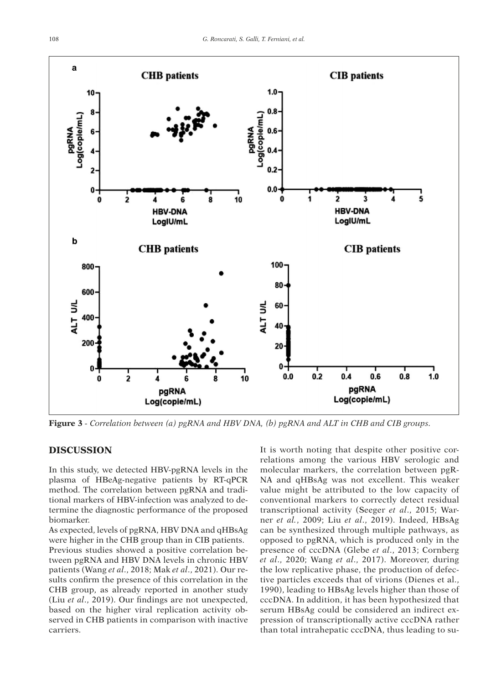

**Figure 3** *- Correlation between (a) pgRNA and HBV DNA, (b) pgRNA and ALT in CHB and CIB groups.*

# **DISCUSSION**

In this study, we detected HBV-pgRNA levels in the plasma of HBeAg-negative patients by RT-qPCR method. The correlation between pgRNA and traditional markers of HBV-infection was analyzed to determine the diagnostic performance of the proposed biomarker.

As expected, levels of pgRNA, HBV DNA and qHBsAg were higher in the CHB group than in CIB patients. Previous studies showed a positive correlation between pgRNA and HBV DNA levels in chronic HBV patients (Wang *et al*., 2018; Mak *et al*., 2021). Our results confirm the presence of this correlation in the CHB group, as already reported in another study (Liu *et al*., 2019). Our findings are not unexpected, based on the higher viral replication activity observed in CHB patients in comparison with inactive carriers.

It is worth noting that despite other positive correlations among the various HBV serologic and molecular markers, the correlation between pgR-NA and qHBsAg was not excellent. This weaker value might be attributed to the low capacity of conventional markers to correctly detect residual transcriptional activity (Seeger *et al*., 2015; Warner *et al.*, 2009; Liu *et al*., 2019). Indeed, HBsAg can be synthesized through multiple pathways, as opposed to pgRNA, which is produced only in the presence of cccDNA (Glebe *et al*., 2013; Cornberg *et al*., 2020; Wang *et al*., 2017). Moreover, during the low replicative phase, the production of defective particles exceeds that of virions (Dienes et al., 1990), leading to HBsAg levels higher than those of cccDNA. In addition, it has been hypothesized that serum HBsAg could be considered an indirect expression of transcriptionally active cccDNA rather than total intrahepatic cccDNA, thus leading to su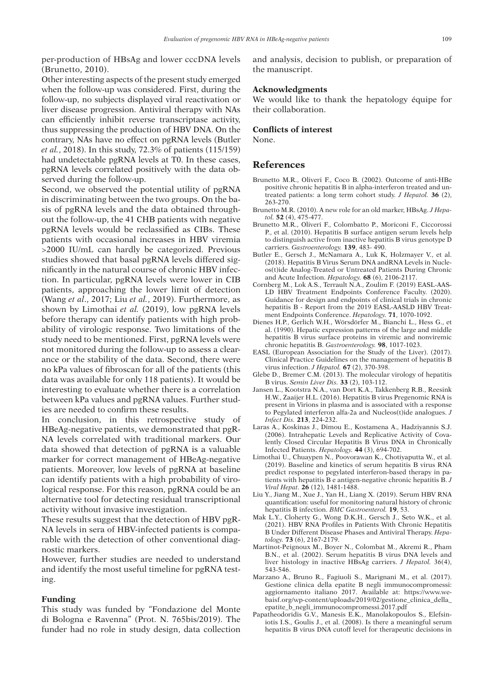per-production of HBsAg and lower cccDNA levels (Brunetto, 2010).

Other interesting aspects of the present study emerged when the follow-up was considered. First, during the follow-up, no subjects displayed viral reactivation or liver disease progression. Antiviral therapy with NAs can efficiently inhibit reverse transcriptase activity, thus suppressing the production of HBV DNA. On the contrary, NAs have no effect on pgRNA levels (Butler *et al.*, 2018). In this study, 72.3% of patients (115/159) had undetectable pgRNA levels at T0. In these cases, pgRNA levels correlated positively with the data observed during the follow-up.

Second, we observed the potential utility of pgRNA in discriminating between the two groups. On the basis of pgRNA levels and the data obtained throughout the follow-up, the 41 CHB patients with negative pgRNA levels would be reclassified as CIBs. These patients with occasional increases in HBV viremia >2000 IU/mL can hardly be categorized. Previous studies showed that basal pgRNA levels differed significantly in the natural course of chronic HBV infection. In particular, pgRNA levels were lower in CIB patients, approaching the lower limit of detection (Wang *et al*., 2017; Liu *et al.*, 2019). Furthermore, as shown by Limothai *et al.* (2019), low pgRNA levels before therapy can identify patients with high probability of virologic response. Two limitations of the study need to be mentioned. First, pgRNA levels were not monitored during the follow-up to assess a clearance or the stability of the data. Second, there were no kPa values of fibroscan for all of the patients (this data was available for only 118 patients). It would be interesting to evaluate whether there is a correlation between kPa values and pgRNA values. Further studies are needed to confirm these results.

In conclusion, in this retrospective study of HBeAg-negative patients, we demonstrated that pgR-NA levels correlated with traditional markers. Our data showed that detection of pgRNA is a valuable marker for correct management of HBeAg-negative patients. Moreover, low levels of pgRNA at baseline can identify patients with a high probability of virological response. For this reason, pgRNA could be an alternative tool for detecting residual transcriptional activity without invasive investigation.

These results suggest that the detection of HBV pgR-NA levels in sera of HBV-infected patients is comparable with the detection of other conventional diagnostic markers.

However, further studies are needed to understand and identify the most useful timeline for pgRNA testing.

#### **Funding**

This study was funded by "Fondazione del Monte di Bologna e Ravenna" (Prot. N. 765bis/2019). The funder had no role in study design, data collection and analysis, decision to publish, or preparation of the manuscript.

#### **Acknowledgments**

We would like to thank the hepatology équipe for their collaboration.

### **Conflicts of interest**

None.

# **References**

- Brunetto M.R., Oliveri F., Coco B. (2002). Outcome of anti-HBe positive chronic hepatitis B in alpha-interferon treated and untreated patients: a long term cohort study. *J Hepatol.* **36** (2), 263-270.
- Brunetto M.R. (2010). A new role for an old marker, HBsAg. *J Hepatol.* **52** (4), 475-477.
- Brunetto M.R., Oliveri F., Colombatto P., Moriconi F., Ciccorossi P., et al. (2010). Hepatitis B surface antigen serum levels help to distinguish active from inactive hepatitis B virus genotype D carriers. *Gastroenterology.* **139**, 483- 490.
- Butler E., Gersch J., McNamara A., Luk K, Holzmayer V., et al. (2018). Hepatitis B Virus Serum DNA andRNA Levels in Nucleos(t)ide Analog-Treated or Untreated Patients During Chronic and Acute Infection. *Hepatology.* **68** (6), 2106-2117.
- Cornberg M., Lok A.S., Terrault N.A., Zoulim F. (2019) EASL-AAS-LD HBV Treatment Endpoints Conference Faculty. (2020). Guidance for design and endpoints of clinical trials in chronic hepatitis B - Report from the 2019 EASL-AASLD HBV Treatment Endpoints Conference. *Hepatology.* **71**, 1070-1092.
- Dienes H.P., Gerlich W.H., Wörsdörfer M., Bianchi L., Hess G., et al. (1990). Hepatic expression patterns of the large and middle hepatitis B virus surface proteins in viremic and nonviremic chronic hepatitis B. *Gastroenterology.* **98**, 1017-1023.
- EASL (European Association for the Study of the Liver). (2017). Clinical Practice Guidelines on the management of hepatitis B virus infection. *J Hepatol.* **67** (2), 370-398.
- Glebe D., Bremer C.M. (2013). The molecular virology of hepatitis B virus. *Semin Liver Dis.* **33** (2), 103-112.
- Jansen L., Kootstra N.A., van Dort K.A., Takkenberg R.B., Reesink H.W., Zaaijer H.L. (2016). Hepatitis B virus Pregenomic RNA is present in Virions in plasma and is associated with a response to Pegylated interferon alfa-2a and Nucleos(t)ide analogues. *J Infect Dis.* **213**, 224-232.
- Laras A., Koskinas J., Dimou E., Kostamena A., Hadziyannis S.J. (2006). Intrahepatic Levels and Replicative Activity of Covalently Closed Circular Hepatitis B Virus DNA in Chronically Infected Patients. *Hepatology.* **44** (3), 694-702.
- Limothai U., Chuaypen N., Poovorawan K., Chotiyaputta W., et al. (2019). Baseline and kinetics of serum hepatitis B virus RNA predict response to pegylated interferon-based therapy in patients with hepatitis B e antigen-negative chronic hepatitis B. *J Viral Hepat.* **26** (12), 1481-1488.
- Liu Y., Jiang M., Xue J., Yan H., Liang X. (2019). Serum HBV RNA quantification: useful for monitoring natural history of chronic hepatitis B infection. *BMC Gastroenterol.* **19**, 53.
- Mak L.Y., Cloherty G., Wong D.K.H., Gersch J., Seto W.K., et al. (2021). HBV RNA Profiles in Patients With Chronic Hepatitis B Under Different Disease Phases and Antiviral Therapy. *Hepatology.* **73** (6), 2167-2179.
- Martinot-Peignoux M., Boyer N., Colombat M., Akremi R., Pham B.N., et al. (2002). Serum hepatitis B virus DNA levels and liver histology in inactive HBsAg carriers. *J Hepatol.* 36(4), 543-546.
- Marzano A., Bruno R., Fagiuoli S., Marignani M., et al. (2017). Gestione clinica della epatite B negli immunocompromessi: aggiornamento italiano 2017. Available at: https://www.webaisf.org/wp-content/uploads/2019/02/gestione\_clinica\_della\_ epatite\_b\_negli\_immunocompromessi.2017.pdf
- Papatheodoridis G.V., Manesis E.K., Manolakopoulos S., Elefsiniotis I.S., Goulis J., et al. (2008). Is there a meaningful serum hepatitis B virus DNA cutoff level for therapeutic decisions in